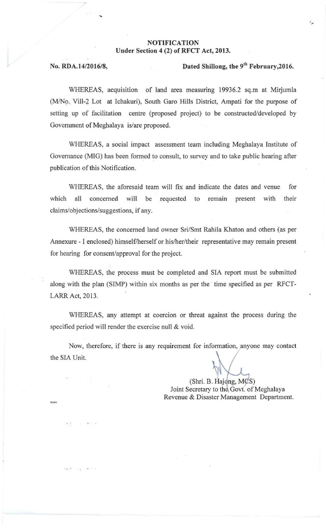## NOTIFICATION Under Section 4 (2) of RFCT Act, 2013.

d/adır<br>-

 $"$  .

## No. RDA.14/2016/8, Dated Shillong, the 9<sup>th</sup> February, 2016.

WHEREAS, acquisition of land area measuring 19936.2 sq.m at Mirjumla (M/No. Vill-2 Lot at Ichakuri), South Garo Hills District, Ampati for the purpose of setting up of facilitation centre (proposed project) to be constructed/developed by Government of Meghalaya is/are proposed.

WHEREAS, a social impact assessment team including Meghalaya Institute of Governance (MIG) has been formed to consult, to survey and to take public hearing after **publication** of this **Notification.** 

WHEREAS, the aforesaid team will fix and indicate the dates and venue for **which all concerned will be requested to** remain **present with their**  claims/objections/suggestions, if any.

WHEREAS, the concerned land owner Sri/Smt Rahila Khaton and others (as per Annexure - I enclosed) himself/herself or his/her/their representative may remain present for hearing for consent/approval for the project.

WHEREAS, the process must be completed and SIA report must be submitted along with the plan (SIMP) within six months as per the time specified as per RFCT-LARR Act, 2013.

WHEREAS, any attempt at coercion or threat against the process during the specified period will render the exercise null & void.

**Now, therefore, if there is any requirement for** information, **anyone may contact**  the SIA Unit.

> (Shri. B. Hajong, MCS) Joint Secretary to the Govt. of Meghalaya **Revenue & Disaster Management Department.**